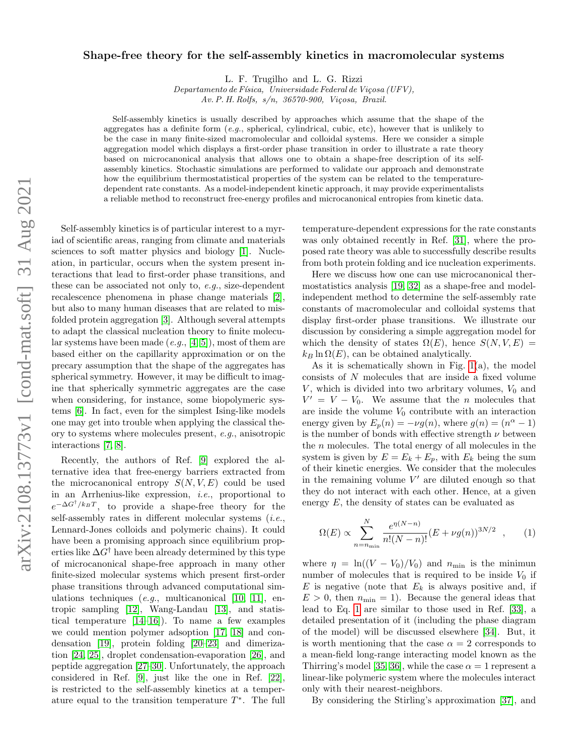## Shape-free theory for the self-assembly kinetics in macromolecular systems

L. F. Trugilho and L. G. Rizzi

Departamento de Física, Universidade Federal de Viçosa (UFV), Av. P. H. Rolfs, s/n, 36570-900, Viçosa, Brazil.

Self-assembly kinetics is usually described by approaches which assume that the shape of the aggregates has a definite form  $(e, q, \text{ spherical}, \text{cylindrical}, \text{cubic}, \text{etc})$ , however that is unlikely to be the case in many finite-sized macromolecular and colloidal systems. Here we consider a simple aggregation model which displays a first-order phase transition in order to illustrate a rate theory based on microcanonical analysis that allows one to obtain a shape-free description of its selfassembly kinetics. Stochastic simulations are performed to validate our approach and demonstrate how the equilibrium thermostatistical properties of the system can be related to the temperaturedependent rate constants. As a model-independent kinetic approach, it may provide experimentalists a reliable method to reconstruct free-energy profiles and microcanonical entropies from kinetic data.

Self-assembly kinetics is of particular interest to a myriad of scientific areas, ranging from climate and materials sciences to soft matter physics and biology [\[1\]](#page-3-0). Nucleation, in particular, occurs when the system present interactions that lead to first-order phase transitions, and these can be associated not only to, e.g., size-dependent recalescence phenomena in phase change materials [\[2\]](#page-3-1), but also to many human diseases that are related to misfolded protein aggregation [\[3\]](#page-3-2). Although several attempts to adapt the classical nucleation theory to finite molecular systems have been made  $(e.g., [4, 5])$  $(e.g., [4, 5])$  $(e.g., [4, 5])$  $(e.g., [4, 5])$ , most of them are based either on the capillarity approximation or on the precary assumption that the shape of the aggregates has spherical symmetry. However, it may be difficult to imagine that spherically symmetric aggregates are the case when considering, for instance, some biopolymeric systems [\[6\]](#page-3-5). In fact, even for the simplest Ising-like models one may get into trouble when applying the classical theory to systems where molecules present, e.g., anisotropic interactions [\[7,](#page-3-6) [8\]](#page-3-7).

Recently, the authors of Ref. [\[9\]](#page-3-8) explored the alternative idea that free-energy barriers extracted from the microcanonical entropy  $S(N, V, E)$  could be used in an Arrhenius-like expression, i.e., proportional to  $e^{-\Delta G^{\dagger}/k_BT}$ , to provide a shape-free theory for the self-assembly rates in different molecular systems  $(i.e.,$ Lennard-Jones colloids and polymeric chains). It could have been a promising approach since equilibrium properties like  $\Delta G^{\dagger}$  have been already determined by this type of microcanonical shape-free approach in many other finite-sized molecular systems which present first-order phase transitions through advanced computational simulations techniques  $(e.g.,$  multicanonical  $[10, 11],$  $[10, 11],$  $[10, 11],$  entropic sampling [\[12\]](#page-3-11), Wang-Landau [\[13\]](#page-3-12), and statistical temperature [\[14–](#page-3-13)[16\]](#page-4-0)). To name a few examples we could mention polymer adsoption [\[17,](#page-4-1) [18\]](#page-4-2) and condensation [\[19\]](#page-4-3), protein folding [\[20–](#page-4-4)[23\]](#page-4-5) and dimerization [\[24,](#page-4-6) [25\]](#page-4-7), droplet condensation-evaporation [\[26\]](#page-4-8), and peptide aggregation [\[27](#page-4-9)[–30\]](#page-4-10). Unfortunately, the approach considered in Ref. [\[9\]](#page-3-8), just like the one in Ref. [\[22\]](#page-4-11), is restricted to the self-assembly kinetics at a temperature equal to the transition temperature  $T^*$ . The full

temperature-dependent expressions for the rate constants was only obtained recently in Ref. [\[31\]](#page-4-12), where the proposed rate theory was able to successfully describe results from both protein folding and ice nucleation experiments.

Here we discuss how one can use microcanonical thermostatistics analysis [\[19,](#page-4-3) [32\]](#page-4-13) as a shape-free and modelindependent method to determine the self-assembly rate constants of macromolecular and colloidal systems that display first-order phase transitions. We illustrate our discussion by considering a simple aggregation model for which the density of states  $\Omega(E)$ , hence  $S(N, V, E)$  $k_B \ln \Omega(E)$ , can be obtained analytically.

As it is schematically shown in Fig.  $1(a)$ , the model consists of N molecules that are inside a fixed volume  $V$ , which is divided into two arbritary volumes,  $V_0$  and  $V' = V - V_0$ . We assume that the *n* molecules that are inside the volume  $V_0$  contribute with an interaction energy given by  $E_p(n) = -\nu g(n)$ , where  $g(n) = (n^{\alpha} - 1)$ is the number of bonds with effective strength  $\nu$  between the  $n$  molecules. The total energy of all molecules in the system is given by  $E = E_k + E_p$ , with  $E_k$  being the sum of their kinetic energies. We consider that the molecules in the remaining volume  $V'$  are diluted enough so that they do not interact with each other. Hence, at a given energy  $E$ , the density of states can be evaluated as

<span id="page-0-0"></span>
$$
\Omega(E) \propto \sum_{n=n_{\text{min}}}^{N} \frac{e^{\eta(N-n)}}{n!(N-n)!} (E + \nu g(n))^{3N/2} , \qquad (1)
$$

where  $\eta = \ln((V - V_0)/V_0)$  and  $n_{\min}$  is the minimun number of molecules that is required to be inside  $V_0$  if  $E$  is negative (note that  $E_k$  is always positive and, if  $E > 0$ , then  $n_{\min} = 1$ . Because the general ideas that lead to Eq. [1](#page-0-0) are similar to those used in Ref. [\[33\]](#page-4-14), a detailed presentation of it (including the phase diagram of the model) will be discussed elsewhere [\[34\]](#page-4-15). But, it is worth mentioning that the case  $\alpha = 2$  corresponds to a mean-field long-range interacting model known as the Thirring's model [\[35,](#page-4-16) [36\]](#page-4-17), while the case  $\alpha = 1$  represent a linear-like polymeric system where the molecules interact only with their nearest-neighbors.

By considering the Stirling's approximation [\[37\]](#page-4-18), and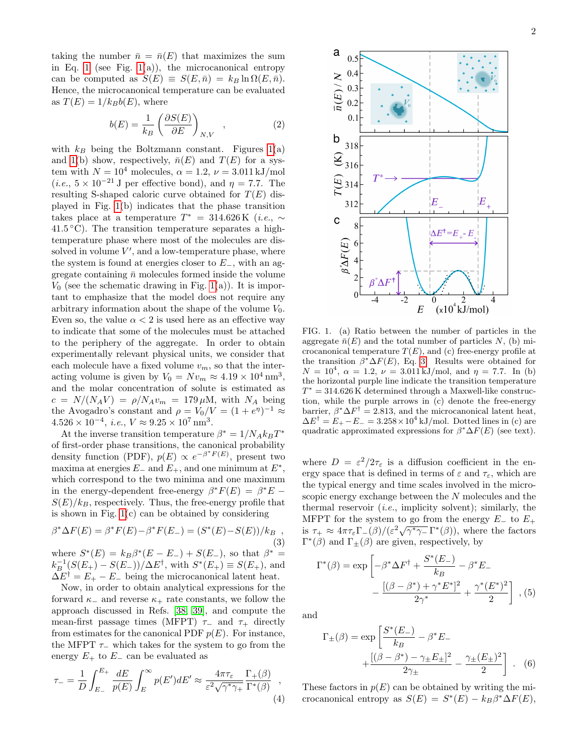taking the number  $\bar{n} = \bar{n}(E)$  that maximizes the sum in Eq. [1](#page-0-0) (see Fig. [1\(](#page-1-0)a)), the microcanonical entropy can be computed as  $S(E) \equiv S(E, \bar{n}) = k_B \ln \Omega(E, \bar{n}).$ Hence, the microcanonical temperature can be evaluated as  $T(E) = 1/k_Bb(E)$ , where

$$
b(E) = \frac{1}{k_B} \left( \frac{\partial S(E)}{\partial E} \right)_{N,V} , \qquad (2)
$$

with  $k_B$  being the Boltzmann constant. Figures [1\(](#page-1-0)a) and [1\(](#page-1-0)b) show, respectively,  $\bar{n}(E)$  and  $T(E)$  for a system with  $N = 10^4$  molecules,  $\alpha = 1.2$ ,  $\nu = 3.011 \text{ kJ/mol}$ (*i.e.*,  $5 \times 10^{-21}$  J per effective bond), and  $\eta = 7.7$ . The resulting S-shaped caloric curve obtained for  $T(E)$  displayed in Fig. [1\(](#page-1-0)b) indicates that the phase transition takes place at a temperature  $T^* = 314.626 \text{ K}$  (*i.e.*,  $\sim$ 41.5 ◦C). The transition temperature separates a hightemperature phase where most of the molecules are dissolved in volume  $V'$ , and a low-temperature phase, where the system is found at energies closer to  $E_$ , with an aggregate containing  $\bar{n}$  molecules formed inside the volume  $V_0$  (see the schematic drawing in Fig. [1\(](#page-1-0)a)). It is important to emphasize that the model does not require any arbitrary information about the shape of the volume  $V_0$ . Even so, the value  $\alpha < 2$  is used here as an effective way to indicate that some of the molecules must be attached to the periphery of the aggregate. In order to obtain experimentally relevant physical units, we consider that each molecule have a fixed volume  $v_m$ , so that the interacting volume is given by  $V_0 = Nv_m \approx 4.19 \times 10^4 \text{ nm}^3$ , and the molar concentration of solute is estimated as  $c = N/(N_A V) = \rho/N_A v_m = 179 \,\mu\text{M}$ , with  $N_A$  being the Avogadro's constant and  $\rho = V_0/V = (1 + e^{\eta})^{-1} \approx$  $4.526 \times 10^{-4}$ , *i.e.*,  $V \approx 9.25 \times 10^7$  nm<sup>3</sup>.

At the inverse transition temperature  $\beta^* = 1/N_A k_B T^*$ of first-order phase transitions, the canonical probability density function (PDF),  $p(E) \propto e^{-\beta^* F(E)}$ , present two maxima at energies  $E_$  and  $E_+$ , and one minimum at  $E^*$ , which correspond to the two minima and one maximum in the energy-dependent free-energy  $\beta^* F(E) = \beta^* E S(E)/k_B$ , respectively. Thus, the free-energy profile that is shown in Fig. [1\(](#page-1-0)c) can be obtained by considering

<span id="page-1-1"></span>
$$
\beta^* \Delta F(E) = \beta^* F(E) - \beta^* F(E_-) = (S^*(E) - S(E))/k_B,
$$
\n(3)

where  $S^*(E) = k_B \beta^*(E - E) + S(E)$ , so that  $\beta^* =$  $k_B^{-1}(S(E_+) - S(E_-))/\Delta E^{\dagger}$ , with  $S^*(E_+) \equiv S(E_+)$ , and  $\Delta E^{\dagger} = E_{+} - E_{-}$  being the microcanonical latent heat.

Now, in order to obtain analytical expressions for the forward  $\kappa_-\$  and reverse  $\kappa_+$  rate constants, we follow the approach discussed in Refs. [\[38,](#page-4-19) [39\]](#page-4-20), and compute the mean-first passage times (MFPT)  $\tau_-\,$  and  $\tau_+\,$  directly from estimates for the canonical PDF  $p(E)$ . For instance, the MFPT  $\tau_-\$  which takes for the system to go from the energy  $E_+$  to  $E_-$  can be evaluated as

$$
\tau_{-} = \frac{1}{D} \int_{E_{-}}^{E_{+}} \frac{dE}{p(E)} \int_{E}^{\infty} p(E') dE' \approx \frac{4\pi\tau_{\varepsilon}}{\varepsilon^{2} \sqrt{\gamma^* \gamma_{+}}} \frac{\Gamma_{+}(\beta)}{\Gamma^{*}(\beta)}, \tag{4}
$$



<span id="page-1-0"></span>FIG. 1. (a) Ratio between the number of particles in the aggregate  $\bar{n}(E)$  and the total number of particles N, (b) microcanonical temperature  $T(E)$ , and (c) free-energy profile at the transition  $\beta^* \Delta F(E)$ , Eq. [3.](#page-1-1) Results were obtained for  $N = 10^4$ ,  $\alpha = 1.2$ ,  $\nu = 3.011 \text{ kJ/mol}$ , and  $\eta = 7.7$ . In (b) the horizontal purple line indicate the transition temperature  $T^* = 314.626$  K determined through a Maxwell-like construction, while the purple arrows in (c) denote the free-energy barrier,  $\beta^* \Delta F^{\dagger} = 2.813$ , and the microcanonical latent heat,  $\Delta E^{\dagger} = E_{+} - E_{-} = 3.258 \times 10^{4} \text{ kJ/mol}$ . Dotted lines in (c) are quadratic approximated expressions for  $\beta^* \Delta F(E)$  (see text).

where  $D = \varepsilon^2/2\tau_{\varepsilon}$  is a diffusion coefficient in the energy space that is defined in terms of  $\varepsilon$  and  $\tau_{\varepsilon}$ , which are the typical energy and time scales involved in the microscopic energy exchange between the N molecules and the thermal reservoir  $(i.e.,$  implicity solvent); similarly, the MFPT for the system to go from the energy  $E_-\;$  to  $E_+$ where  $\Gamma$  to the system to go from the energy  $E_-$  to  $E_+$ <br>is  $\tau_+ \approx 4\pi \tau_{\varepsilon} \Gamma_-(\beta)/(\varepsilon^2 \sqrt{\gamma^* \gamma_-} \Gamma^*(\beta))$ , where the factors  $\Gamma^*(\beta)$  and  $\Gamma_{\pm}(\beta)$  are given, respectively, by

$$
\Gamma^*(\beta) = \exp\left[-\beta^* \Delta F^{\dagger} + \frac{S^*(E_-)}{k_B} - \beta^* E_- - \frac{[(\beta - \beta^*) + \gamma^* E^*]^2}{2\gamma^*} + \frac{\gamma^*(E^*)^2}{2}\right],
$$
 (5)

and

$$
\Gamma_{\pm}(\beta) = \exp \left[ \frac{S^*(E_-)}{k_B} - \beta^* E_- + \frac{[(\beta - \beta^*) - \gamma_{\pm} E_{\pm}]^2}{2\gamma_{\pm}} - \frac{\gamma_{\pm} (E_{\pm})^2}{2} \right].
$$
 (6)

These factors in  $p(E)$  can be obtained by writing the microcanonical entropy as  $S(E) = S^*(E) - k_B \beta^* \Delta F(E)$ ,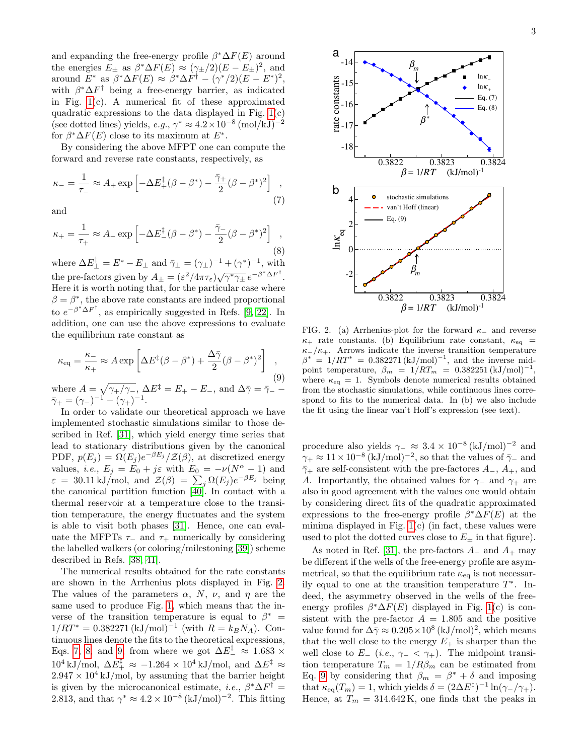and expanding the free-energy profile  $\beta^* \Delta F(E)$  around the energies  $E_{\pm}$  as  $\beta^* \Delta F(E) \approx (\gamma_{\pm}/2)(E - E_{\pm})^2$ , and around  $E^*$  as  $\beta^* \Delta F(E) \approx \beta^* \Delta F^{\dagger} - (\gamma^*/2)(E - E^*)^2$ , with  $\beta^* \Delta F^{\dagger}$  being a free-energy barrier, as indicated in Fig. [1\(](#page-1-0)c). A numerical fit of these approximated quadratic expressions to the data displayed in Fig.  $1(c)$ (see dotted lines) yields, e.g.,  $\gamma^* \approx 4.2 \times 10^{-8}$  (mol/kJ)<sup>-2</sup> for  $\beta^* \Delta F(E)$  close to its maximum at  $E^*$ .

By considering the above MFPT one can compute the forward and reverse rate constants, respectively, as

<span id="page-2-1"></span>
$$
\kappa_{-} = \frac{1}{\tau_{-}} \approx A_{+} \exp\left[-\Delta E_{+}^{\ddagger}(\beta - \beta^{*}) - \frac{\bar{\gamma}_{+}}{2}(\beta - \beta^{*})^{2}\right] , \tag{7}
$$

and

<span id="page-2-2"></span>
$$
\kappa_{+} = \frac{1}{\tau_{+}} \approx A_{-} \exp\left[-\Delta E_{-}^{\ddagger}(\beta - \beta^{*}) - \frac{\bar{\gamma}_{-}}{2}(\beta - \beta^{*})^{2}\right] \tag{8}
$$

where  $\Delta E_{\pm}^{\ddagger} = E^* - E_{\pm}$  and  $\bar{\gamma}_{\pm} = (\gamma_{\pm})^{-1} + (\gamma^*)^{-1}$ , with the pre-factors given by  $A_{\pm} = (\varepsilon^2/4\pi\tau_{\varepsilon})\sqrt{\gamma^*\gamma_{\pm}} e^{-\beta^*\Delta F^{\dagger}}$ . Here it is worth noting that, for the particular case where  $\beta = \beta^*$ , the above rate constants are indeed proportional to  $e^{-\beta^* \Delta F^{\dagger}}$ , as empirically suggested in Refs. [\[9,](#page-3-8) [22\]](#page-4-11). In addition, one can use the above expressions to evaluate the equilibrium rate constant as

<span id="page-2-3"></span>
$$
\kappa_{\text{eq}} = \frac{\kappa_{-}}{\kappa_{+}} \approx A \exp \left[ \Delta E^{\ddagger} (\beta - \beta^{*}) + \frac{\Delta \bar{\gamma}}{2} (\beta - \beta^{*})^{2} \right],
$$
  
\nwhere  $A = \sqrt{\gamma_{+}/\gamma_{-}}, \Delta E^{\ddagger} = E_{+} - E_{-}, \text{ and } \Delta \bar{\gamma} = \bar{\gamma}_{-} - \bar{\gamma}_{+} = (\gamma_{-})^{-1} - (\gamma_{+})^{-1}.$  (9)

In order to validate our theoretical approach we have implemented stochastic simulations similar to those described in Ref. [\[31\]](#page-4-12), which yield energy time series that lead to stationary distributions given by the canonical PDF,  $p(E_j) = \Omega(E_j) e^{-\beta E_j} / \mathcal{Z}(\beta)$ , at discretized energy values, *i.e.*,  $E_j = E_0 + j\varepsilon$  with  $E_0 = -\nu(N^{\alpha} - 1)$  and  $\varepsilon = 30.11 \,\mathrm{kJ/mol}$ , and  $\mathcal{Z}(\beta) = \sum_j \Omega(E_j) e^{-\beta E_j}$  being the canonical partition function [\[40\]](#page-4-21). In contact with a thermal reservoir at a temperature close to the transition temperature, the energy fluctuates and the system is able to visit both phases [\[31\]](#page-4-12). Hence, one can evaluate the MFPTs  $\tau_-\$  and  $\tau_+\$  numerically by considering the labelled walkers (or coloring/milestoning [\[39\]](#page-4-20)) scheme described in Refs. [\[38,](#page-4-19) [41\]](#page-4-22).

The numerical results obtained for the rate constants are shown in the Arrhenius plots displayed in Fig. [2.](#page-2-0) The values of the parameters  $\alpha$ , N,  $\nu$ , and  $\eta$  are the same used to produce Fig. [1,](#page-1-0) which means that the inverse of the transition temperature is equal to  $\beta^*$  =  $1/RT^* = 0.382271 \, (\mathrm{kJ/mol})^{-1}$  (with  $R = k_B N_A$ ). Continuous lines denote the fits to the theoretical expressions, Eqs. [7,](#page-2-1) [8,](#page-2-2) and [9,](#page-2-3) from where we got  $\Delta E_{-}^{\ddagger} \approx 1.683 \times$ 10<sup>4</sup> kJ/mol,  $\Delta E_{+}^{\ddagger} \approx -1.264 \times 10^{4}$  kJ/mol, and  $\Delta E_{+}^{\ddagger} \approx$  $2.947 \times 10^4$  kJ/mol, by assuming that the barrier height is given by the microcanonical estimate, *i.e.*,  $\beta^* \Delta F^{\dagger} =$ 2.813, and that  $\gamma^* \approx 4.2 \times 10^{-8} (\mathrm{kJ/mol})^{-2}$ . This fitting



<span id="page-2-0"></span>FIG. 2. (a) Arrhenius-plot for the forward  $\kappa$ - and reverse  $\kappa_{+}$  rate constants. (b) Equilibrium rate constant,  $\kappa_{eq}$  =  $\kappa$ -/ $\kappa$ +. Arrows indicate the inverse transition temperature  $\beta^* = 1/RT^* = 0.382271 \, (\mathrm{kJ/mol})^{-1}$ , and the inverse midpoint temperature,  $\beta_m = 1/RT_m = 0.382251 \, (\mathrm{kJ/mol})^{-1}$ , where  $\kappa_{\text{eq}} = 1$ . Symbols denote numerical results obtained from the stochastic simulations, while continuous lines correspond to fits to the numerical data. In (b) we also include the fit using the linear van't Hoff's expression (see text).

procedure also yields  $\gamma_-\approx 3.4\times 10^{-8}$  (kJ/mol)<sup>-2</sup> and  $\gamma_+ \approx 11 \times 10^{-8}$  (kJ/mol)<sup>-2</sup>, so that the values of  $\bar{\gamma}_-$  and  $\bar{\gamma}_+$  are self-consistent with the pre-factores  $A_-, A_+$ , and A. Importantly, the obtained values for  $\gamma_-\,$  and  $\gamma_+\,$  are also in good agreement with the values one would obtain by considering direct fits of the quadratic approximated expressions to the free-energy profile  $\beta^* \Delta F(E)$  at the minima displayed in Fig.  $1(c)$  (in fact, these values were used to plot the dotted curves close to  $E_{\pm}$  in that figure).

As noted in Ref. [\[31\]](#page-4-12), the pre-factors  $A_-\$  and  $A_+\$  may be different if the wells of the free-energy profile are asymmetrical, so that the equilibrium rate  $\kappa_{eq}$  is not necessarily equal to one at the transition temperature  $T^*$ . Indeed, the asymmetry observed in the wells of the freeenergy profiles  $\beta^* \Delta F(E)$  displayed in Fig. [1\(](#page-1-0)c) is consistent with the pre-factor  $A = 1.805$  and the positive value found for  $\Delta \bar{\gamma} \approx 0.205 \times 10^8 \, (\mathrm{kJ/mol})^2$ , which means that the well close to the energy  $E_{+}$  is sharper than the well close to  $E_-(i.e., \gamma_- < \gamma_+)$ . The midpoint transition temperature  $T_m = 1/R\beta_m$  can be estimated from Eq. [9](#page-2-3) by considering that  $\beta_m = \beta^* + \delta$  and imposing that  $\kappa_{eq}(T_m) = 1$ , which yields  $\delta = (2\Delta E^{\ddagger})^{-1} \ln(\gamma_-/\gamma_+).$ Hence, at  $T_m = 314.642 \text{ K}$ , one finds that the peaks in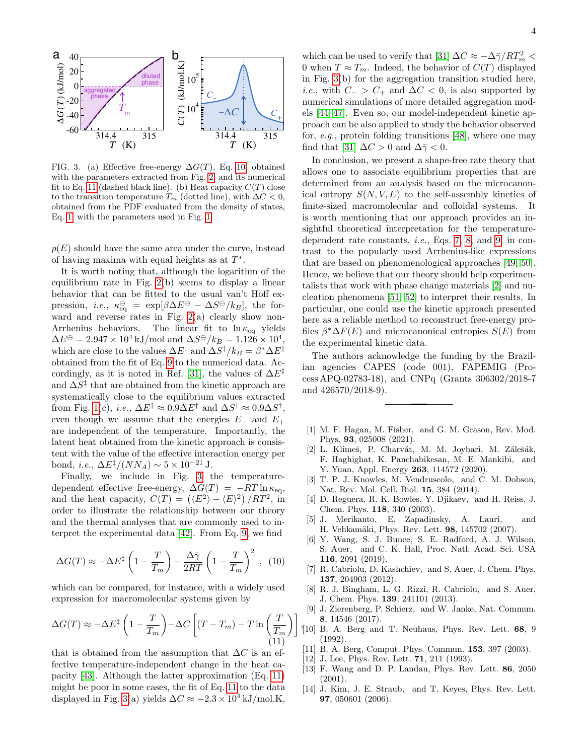

<span id="page-3-16"></span>FIG. 3. (a) Effective free-energy  $\Delta G(T)$ , Eq. [10,](#page-3-14) obtained with the parameters extracted from Fig. [2,](#page-2-0) and its numerical fit to Eq. [11](#page-3-15) (dashed black line). (b) Heat capacity  $C(T)$  close to the transition temperature  $T_m$  (dotted line), with  $\Delta C < 0$ , obtained from the PDF evaluated from the density of states, Eq. [1,](#page-0-0) with the parameters used in Fig. [1.](#page-1-0)

 $p(E)$  should have the same area under the curve, instead of having maxima with equal heights as at  $T^*$ .

It is worth noting that, although the logarithm of the equilibrium rate in Fig. [2\(](#page-2-0)b) seems to display a linear behavior that can be fitted to the usual van't Hoff expression, *i.e.*,  $\kappa_{\text{eq}}^{\ominus} = \exp[\beta \Delta E^{\ominus} - \Delta S^{\ominus}/k_B],$  the forward and reverse rates in Fig. [2\(](#page-2-0)a) clearly show non-Arrhenius behaviors. The linear fit to  $\ln \kappa_{\text{eq}}$  yields  $\Delta E^{\ominus} = 2.947 \times 10^4 \,\mathrm{kJ/mol}$  and  $\Delta S^{\ominus}/k_B = 1.126 \times 10^4$ , which are close to the values  $\Delta E^{\ddagger}$  and  $\Delta S^{\ddagger}/k_B = \beta^* \Delta E^{\ddagger}$ obtained from the fit of Eq. [9](#page-2-3) to the numerical data. Ac-cordingly, as it is noted in Ref. [\[31\]](#page-4-12), the values of  $\Delta E^{\ddagger}$ and  $\Delta S^{\ddagger}$  that are obtained from the kinetic approach are systematically close to the equilibrium values extracted from Fig. [1\(](#page-1-0)c), *i.e.*,  $\Delta E^{\ddagger} \approx 0.9 \Delta E^{\dagger}$  and  $\Delta S^{\ddagger} \approx 0.9 \Delta S^{\dagger}$ , even though we assume that the energies  $E_-\,$  and  $E_+\,$ are independent of the temperature. Importantly, the latent heat obtained from the kinetic approach is consistent with the value of the effective interaction energy per bond, *i.e.*,  $\Delta E^{\ddagger} / (NN_A) \sim 5 \times 10^{-21}$  J.

Finally, we include in Fig. [3](#page-3-16) the temperaturedependent effective free-energy,  $\Delta G(T) = -RT \ln \kappa_{\text{eq}}$ , and the heat capacity,  $C(T) = (\langle E^2 \rangle - \langle E \rangle^2) / RT^2$ , in order to illustrate the relationship between our theory and the thermal analyses that are commonly used to interpret the experimental data [\[42\]](#page-4-23). From Eq. [9,](#page-2-3) we find

<span id="page-3-14"></span>
$$
\Delta G(T) \approx -\Delta E^{\ddagger} \left( 1 - \frac{T}{T_m} \right) - \frac{\Delta \bar{\gamma}}{2RT} \left( 1 - \frac{T}{T_m} \right)^2 , \quad (10)
$$

which can be compared, for instance, with a widely used expression for macromolecular systems given by

<span id="page-3-15"></span>
$$
\Delta G(T) \approx -\Delta E^{\ddagger} \left( 1 - \frac{T}{T_m} \right) - \Delta C \left[ (T - T_m) - T \ln \left( \frac{T}{T_m} \right) \right],
$$
\n(11)

that is obtained from the assumption that  $\Delta C$  is an effective temperature-independent change in the heat capacity [\[43\]](#page-4-24). Although the latter approximation (Eq. [11\)](#page-3-15) might be poor in some cases, the fit of Eq. [11](#page-3-15) to the data displayed in Fig. [3\(](#page-3-16)a) yields  $\Delta C \approx -2.3 \times 10^4 \text{ kJ/mol.K.}$ 

which can be used to verify that [\[31\]](#page-4-12)  $\Delta C \approx -\Delta \bar{\gamma}/RT_m^2$  < 0 when  $T \approx T_m$ . Indeed, the behavior of  $C(T)$  displayed in Fig. [3\(](#page-3-16)b) for the aggregation transition studied here, *i.e.*, with  $C_{-} > C_{+}$  and  $\Delta C < 0$ , is also supported by numerical simulations of more detailed aggregation models [\[44–](#page-4-25)[47\]](#page-4-26). Even so, our model-independent kinetic approach can be also applied to study the behavior observed for, e.g., protein folding transitions [\[48\]](#page-4-27), where one may find that [\[31\]](#page-4-12)  $\Delta C > 0$  and  $\Delta \bar{\gamma} < 0$ .

In conclusion, we present a shape-free rate theory that allows one to associate equilibrium properties that are determined from an analysis based on the microcanonical entropy  $S(N, V, E)$  to the self-assembly kinetics of finite-sized macromolecular and colloidal systems. It is worth mentioning that our approach provides an insightful theoretical interpretation for the temperaturedependent rate constants, i.e., Eqs. [7,](#page-2-1) [8,](#page-2-2) and [9,](#page-2-3) in contrast to the popularly used Arrhenius-like expressions that are based on phenomenological approaches [\[49,](#page-4-28) [50\]](#page-4-29). Hence, we believe that our theory should help experimentalists that work with phase change materials [\[2\]](#page-3-1) and nucleation phenomena [\[51,](#page-4-30) [52\]](#page-4-31) to interpret their results. In particular, one could use the kinetic approach presented here as a reliable method to reconstruct free-energy profiles  $\beta^* \Delta F(E)$  and microcanonical entropies  $S(E)$  from the experimental kinetic data.

The authors acknowledge the funding by the Brazilian agencies CAPES (code 001), FAPEMIG (Process APQ-02783-18), and CNPq (Grants 306302/2018-7 and 426570/2018-9).

- <span id="page-3-0"></span>[1] M. F. Hagan, M. Fisher, and G. M. Grason, Rev. Mod. Phys. 93, 025008 (2021).
- <span id="page-3-1"></span>[2] L. Klimeš, P. Charvát, M. M. Joybari, M. Zálešák, F. Haghighat, K. Panchabikesan, M. E. Mankibi, and Y. Yuan, Appl. Energy 263, 114572 (2020).
- <span id="page-3-2"></span>[3] T. P. J. Knowles, M. Vendruscolo, and C. M. Dobson, Nat. Rev. Mol. Cell. Biol. 15, 384 (2014).
- <span id="page-3-3"></span>[4] D. Reguera, R. K. Bowles, Y. Djikaev, and H. Reiss, J. Chem. Phys. 118, 340 (2003).
- <span id="page-3-4"></span>[5] J. Merikanto, E. Zapadinsky, A. Lauri, and H. Vehkamäki, Phys. Rev. Lett. 98, 145702 (2007).
- <span id="page-3-5"></span>[6] Y. Wang, S. J. Bunce, S. E. Radford, A. J. Wilson, S. Auer, and C. K. Hall, Proc. Natl. Acad. Sci. USA 116, 2091 (2019).
- <span id="page-3-6"></span>[7] R. Cabriolu, D. Kashchiev, and S. Auer, J. Chem. Phys. 137, 204903 (2012).
- <span id="page-3-7"></span>[8] R. J. Bingham, L. G. Rizzi, R. Cabriolu, and S. Auer, J. Chem. Phys. 139, 241101 (2013).
- <span id="page-3-8"></span>[9] J. Zierenberg, P. Schierz, and W. Janke, Nat. Commun. 8, 14546 (2017).
- <span id="page-3-9"></span>[10] B. A. Berg and T. Neuhaus, Phys. Rev. Lett. 68, 9 (1992).
- <span id="page-3-10"></span>[11] B. A. Berg, Comput. Phys. Commun. 153, 397 (2003).
- <span id="page-3-11"></span>[12] J. Lee, Phys. Rev. Lett. **71**, 211 (1993).
- <span id="page-3-12"></span>[13] F. Wang and D. P. Landau, Phys. Rev. Lett. 86, 2050 (2001).
- <span id="page-3-13"></span>[14] J. Kim, J. E. Straub, and T. Keyes, Phys. Rev. Lett. 97, 050601 (2006).